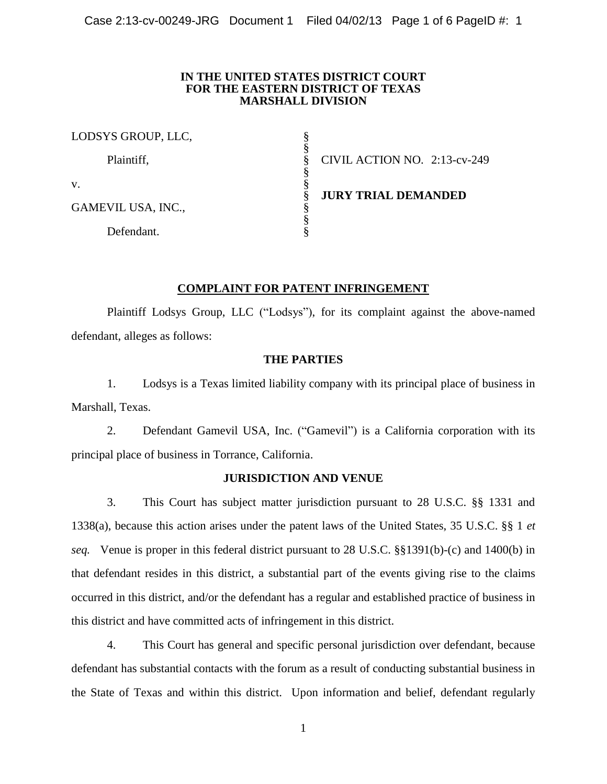## **IN THE UNITED STATES DISTRICT COURT FOR THE EASTERN DISTRICT OF TEXAS MARSHALL DIVISION**

| LODSYS GROUP, LLC, |                              |
|--------------------|------------------------------|
| Plaintiff,         | CIVIL ACTION NO. 2:13-cv-249 |
| V.                 |                              |
| GAMEVIL USA, INC., | <b>JURY TRIAL DEMANDED</b>   |
| Defendant.         |                              |

# **COMPLAINT FOR PATENT INFRINGEMENT**

Plaintiff Lodsys Group, LLC ("Lodsys"), for its complaint against the above-named defendant, alleges as follows:

# **THE PARTIES**

1. Lodsys is a Texas limited liability company with its principal place of business in Marshall, Texas.

2. Defendant Gamevil USA, Inc. ("Gamevil") is a California corporation with its principal place of business in Torrance, California.

# **JURISDICTION AND VENUE**

3. This Court has subject matter jurisdiction pursuant to 28 U.S.C. §§ 1331 and 1338(a), because this action arises under the patent laws of the United States, 35 U.S.C. §§ 1 *et seq.* Venue is proper in this federal district pursuant to 28 U.S.C. §§1391(b)-(c) and 1400(b) in that defendant resides in this district, a substantial part of the events giving rise to the claims occurred in this district, and/or the defendant has a regular and established practice of business in this district and have committed acts of infringement in this district.

4. This Court has general and specific personal jurisdiction over defendant, because defendant has substantial contacts with the forum as a result of conducting substantial business in the State of Texas and within this district. Upon information and belief, defendant regularly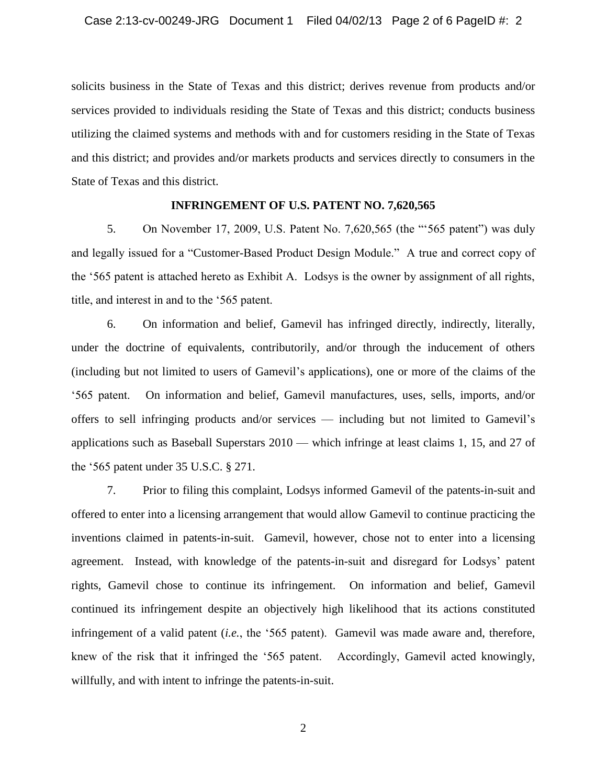solicits business in the State of Texas and this district; derives revenue from products and/or services provided to individuals residing the State of Texas and this district; conducts business utilizing the claimed systems and methods with and for customers residing in the State of Texas and this district; and provides and/or markets products and services directly to consumers in the State of Texas and this district.

## **INFRINGEMENT OF U.S. PATENT NO. 7,620,565**

5. On November 17, 2009, U.S. Patent No. 7,620,565 (the "'565 patent") was duly and legally issued for a "Customer-Based Product Design Module." A true and correct copy of the '565 patent is attached hereto as Exhibit A. Lodsys is the owner by assignment of all rights, title, and interest in and to the '565 patent.

6. On information and belief, Gamevil has infringed directly, indirectly, literally, under the doctrine of equivalents, contributorily, and/or through the inducement of others (including but not limited to users of Gamevil's applications), one or more of the claims of the '565 patent. On information and belief, Gamevil manufactures, uses, sells, imports, and/or offers to sell infringing products and/or services — including but not limited to Gamevil's applications such as Baseball Superstars 2010 — which infringe at least claims 1, 15, and 27 of the '565 patent under 35 U.S.C. § 271.

7. Prior to filing this complaint, Lodsys informed Gamevil of the patents-in-suit and offered to enter into a licensing arrangement that would allow Gamevil to continue practicing the inventions claimed in patents-in-suit. Gamevil, however, chose not to enter into a licensing agreement. Instead, with knowledge of the patents-in-suit and disregard for Lodsys' patent rights, Gamevil chose to continue its infringement. On information and belief, Gamevil continued its infringement despite an objectively high likelihood that its actions constituted infringement of a valid patent (*i.e.*, the '565 patent). Gamevil was made aware and, therefore, knew of the risk that it infringed the '565 patent. Accordingly, Gamevil acted knowingly, willfully, and with intent to infringe the patents-in-suit.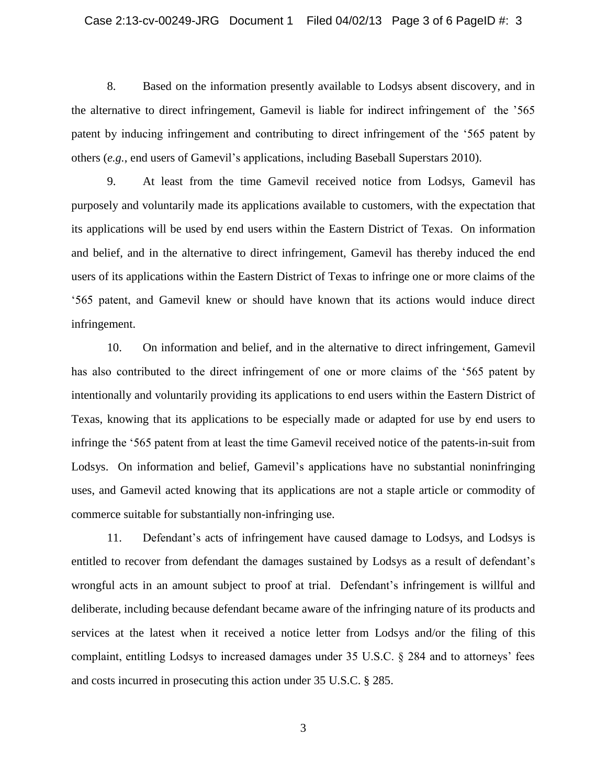8. Based on the information presently available to Lodsys absent discovery, and in the alternative to direct infringement, Gamevil is liable for indirect infringement of the '565 patent by inducing infringement and contributing to direct infringement of the '565 patent by others (*e.g.*, end users of Gamevil's applications, including Baseball Superstars 2010).

9. At least from the time Gamevil received notice from Lodsys, Gamevil has purposely and voluntarily made its applications available to customers, with the expectation that its applications will be used by end users within the Eastern District of Texas. On information and belief, and in the alternative to direct infringement, Gamevil has thereby induced the end users of its applications within the Eastern District of Texas to infringe one or more claims of the '565 patent, and Gamevil knew or should have known that its actions would induce direct infringement.

10. On information and belief, and in the alternative to direct infringement, Gamevil has also contributed to the direct infringement of one or more claims of the '565 patent by intentionally and voluntarily providing its applications to end users within the Eastern District of Texas, knowing that its applications to be especially made or adapted for use by end users to infringe the '565 patent from at least the time Gamevil received notice of the patents-in-suit from Lodsys. On information and belief, Gamevil's applications have no substantial noninfringing uses, and Gamevil acted knowing that its applications are not a staple article or commodity of commerce suitable for substantially non-infringing use.

11. Defendant's acts of infringement have caused damage to Lodsys, and Lodsys is entitled to recover from defendant the damages sustained by Lodsys as a result of defendant's wrongful acts in an amount subject to proof at trial. Defendant's infringement is willful and deliberate, including because defendant became aware of the infringing nature of its products and services at the latest when it received a notice letter from Lodsys and/or the filing of this complaint, entitling Lodsys to increased damages under 35 U.S.C. § 284 and to attorneys' fees and costs incurred in prosecuting this action under 35 U.S.C. § 285.

3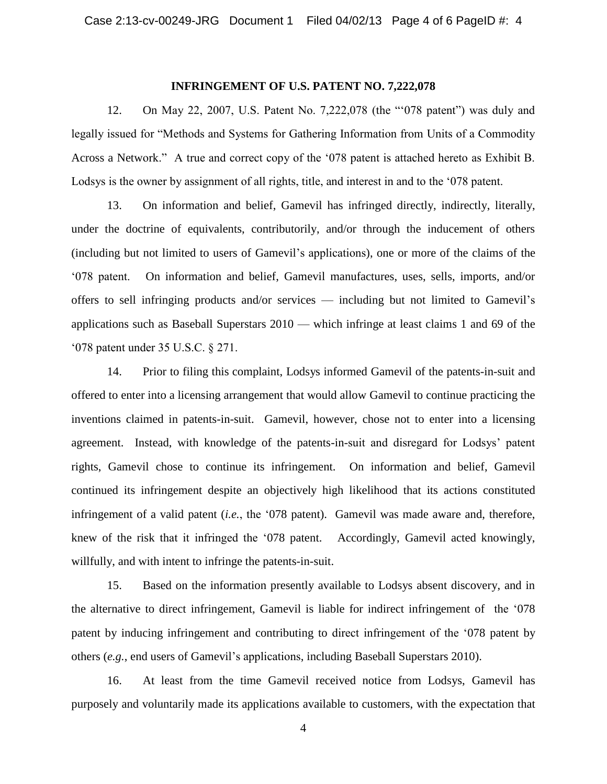#### **INFRINGEMENT OF U.S. PATENT NO. 7,222,078**

12. On May 22, 2007, U.S. Patent No. 7,222,078 (the "'078 patent") was duly and legally issued for "Methods and Systems for Gathering Information from Units of a Commodity Across a Network." A true and correct copy of the '078 patent is attached hereto as Exhibit B. Lodsys is the owner by assignment of all rights, title, and interest in and to the '078 patent.

13. On information and belief, Gamevil has infringed directly, indirectly, literally, under the doctrine of equivalents, contributorily, and/or through the inducement of others (including but not limited to users of Gamevil's applications), one or more of the claims of the '078 patent. On information and belief, Gamevil manufactures, uses, sells, imports, and/or offers to sell infringing products and/or services — including but not limited to Gamevil's applications such as Baseball Superstars 2010 — which infringe at least claims 1 and 69 of the '078 patent under 35 U.S.C. § 271.

14. Prior to filing this complaint, Lodsys informed Gamevil of the patents-in-suit and offered to enter into a licensing arrangement that would allow Gamevil to continue practicing the inventions claimed in patents-in-suit. Gamevil, however, chose not to enter into a licensing agreement. Instead, with knowledge of the patents-in-suit and disregard for Lodsys' patent rights, Gamevil chose to continue its infringement. On information and belief, Gamevil continued its infringement despite an objectively high likelihood that its actions constituted infringement of a valid patent (*i.e.*, the '078 patent). Gamevil was made aware and, therefore, knew of the risk that it infringed the '078 patent. Accordingly, Gamevil acted knowingly, willfully, and with intent to infringe the patents-in-suit.

15. Based on the information presently available to Lodsys absent discovery, and in the alternative to direct infringement, Gamevil is liable for indirect infringement of the '078 patent by inducing infringement and contributing to direct infringement of the '078 patent by others (*e.g.*, end users of Gamevil's applications, including Baseball Superstars 2010).

16. At least from the time Gamevil received notice from Lodsys, Gamevil has purposely and voluntarily made its applications available to customers, with the expectation that

4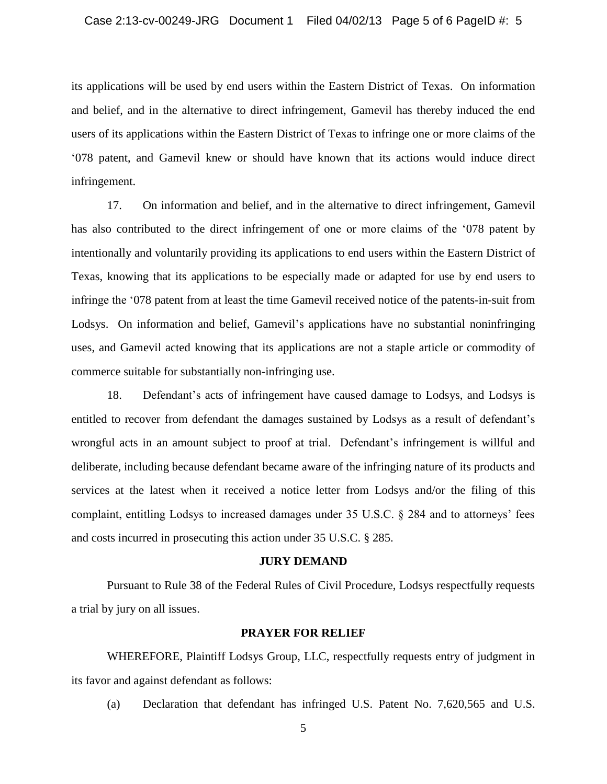its applications will be used by end users within the Eastern District of Texas. On information and belief, and in the alternative to direct infringement, Gamevil has thereby induced the end users of its applications within the Eastern District of Texas to infringe one or more claims of the '078 patent, and Gamevil knew or should have known that its actions would induce direct infringement.

17. On information and belief, and in the alternative to direct infringement, Gamevil has also contributed to the direct infringement of one or more claims of the '078 patent by intentionally and voluntarily providing its applications to end users within the Eastern District of Texas, knowing that its applications to be especially made or adapted for use by end users to infringe the '078 patent from at least the time Gamevil received notice of the patents-in-suit from Lodsys. On information and belief, Gamevil's applications have no substantial noninfringing uses, and Gamevil acted knowing that its applications are not a staple article or commodity of commerce suitable for substantially non-infringing use.

18. Defendant's acts of infringement have caused damage to Lodsys, and Lodsys is entitled to recover from defendant the damages sustained by Lodsys as a result of defendant's wrongful acts in an amount subject to proof at trial. Defendant's infringement is willful and deliberate, including because defendant became aware of the infringing nature of its products and services at the latest when it received a notice letter from Lodsys and/or the filing of this complaint, entitling Lodsys to increased damages under 35 U.S.C. § 284 and to attorneys' fees and costs incurred in prosecuting this action under 35 U.S.C. § 285.

#### **JURY DEMAND**

Pursuant to Rule 38 of the Federal Rules of Civil Procedure, Lodsys respectfully requests a trial by jury on all issues.

#### **PRAYER FOR RELIEF**

WHEREFORE, Plaintiff Lodsys Group, LLC, respectfully requests entry of judgment in its favor and against defendant as follows:

(a) Declaration that defendant has infringed U.S. Patent No. 7,620,565 and U.S.